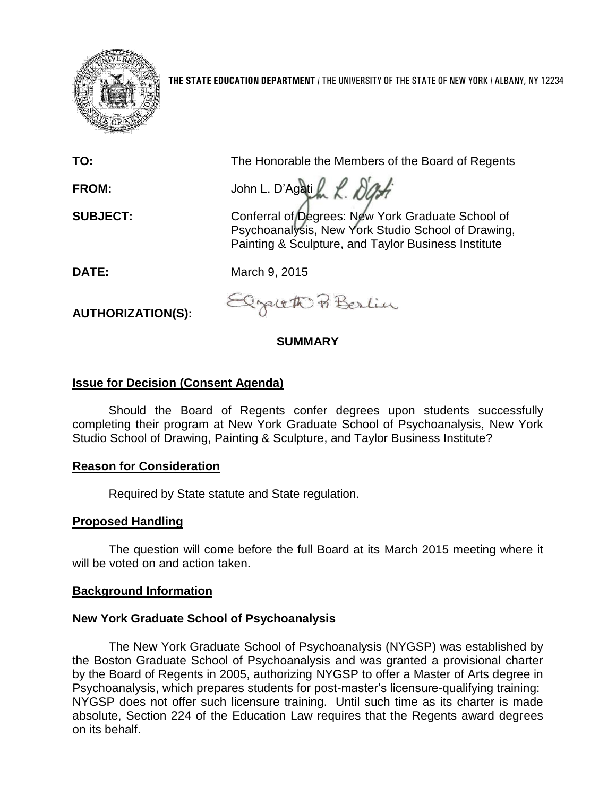

**THE STATE EDUCATION DEPARTMENT** / THE UNIVERSITY OF THE STATE OF NEW YORK / ALBANY, NY 12234

**TO:** The Honorable the Members of the Board of Regents

FROM: John L. D'Agati 2 R. D'Af

**SUBJECT:** Conferral of Degrees: New York Graduate School of Psychoanalysis, New York Studio School of Drawing, Painting & Sculpture, and Taylor Business Institute

**DATE:** March 9, 2015

**AUTHORIZATION(S):**

grate & Berlin

## **SUMMARY**

# **Issue for Decision (Consent Agenda)**

Should the Board of Regents confer degrees upon students successfully completing their program at New York Graduate School of Psychoanalysis, New York Studio School of Drawing, Painting & Sculpture, and Taylor Business Institute?

## **Reason for Consideration**

Required by State statute and State regulation.

## **Proposed Handling**

The question will come before the full Board at its March 2015 meeting where it will be voted on and action taken.

## **Background Information**

## **New York Graduate School of Psychoanalysis**

The New York Graduate School of Psychoanalysis (NYGSP) was established by the Boston Graduate School of Psychoanalysis and was granted a provisional charter by the Board of Regents in 2005, authorizing NYGSP to offer a Master of Arts degree in Psychoanalysis, which prepares students for post-master's licensure-qualifying training: NYGSP does not offer such licensure training. Until such time as its charter is made absolute, Section 224 of the Education Law requires that the Regents award degrees on its behalf.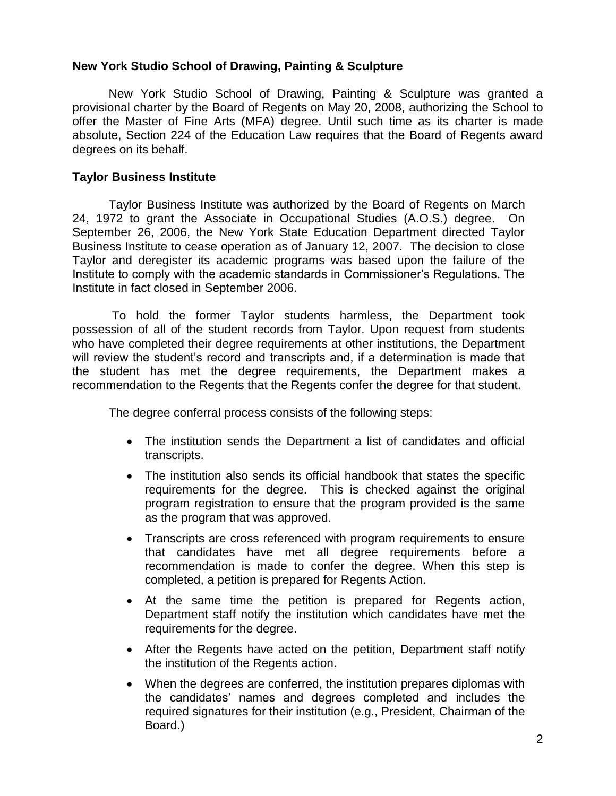#### **New York Studio School of Drawing, Painting & Sculpture**

New York Studio School of Drawing, Painting & Sculpture was granted a provisional charter by the Board of Regents on May 20, 2008, authorizing the School to offer the Master of Fine Arts (MFA) degree. Until such time as its charter is made absolute, Section 224 of the Education Law requires that the Board of Regents award degrees on its behalf.

#### **Taylor Business Institute**

Taylor Business Institute was authorized by the Board of Regents on March 24, 1972 to grant the Associate in Occupational Studies (A.O.S.) degree. On September 26, 2006, the New York State Education Department directed Taylor Business Institute to cease operation as of January 12, 2007. The decision to close Taylor and deregister its academic programs was based upon the failure of the Institute to comply with the academic standards in Commissioner's Regulations. The Institute in fact closed in September 2006.

To hold the former Taylor students harmless, the Department took possession of all of the student records from Taylor. Upon request from students who have completed their degree requirements at other institutions, the Department will review the student's record and transcripts and, if a determination is made that the student has met the degree requirements, the Department makes a recommendation to the Regents that the Regents confer the degree for that student.

The degree conferral process consists of the following steps:

- The institution sends the Department a list of candidates and official transcripts.
- The institution also sends its official handbook that states the specific requirements for the degree. This is checked against the original program registration to ensure that the program provided is the same as the program that was approved.
- Transcripts are cross referenced with program requirements to ensure that candidates have met all degree requirements before a recommendation is made to confer the degree. When this step is completed, a petition is prepared for Regents Action.
- At the same time the petition is prepared for Regents action, Department staff notify the institution which candidates have met the requirements for the degree.
- After the Regents have acted on the petition, Department staff notify the institution of the Regents action.
- When the degrees are conferred, the institution prepares diplomas with the candidates' names and degrees completed and includes the required signatures for their institution (e.g., President, Chairman of the Board.)